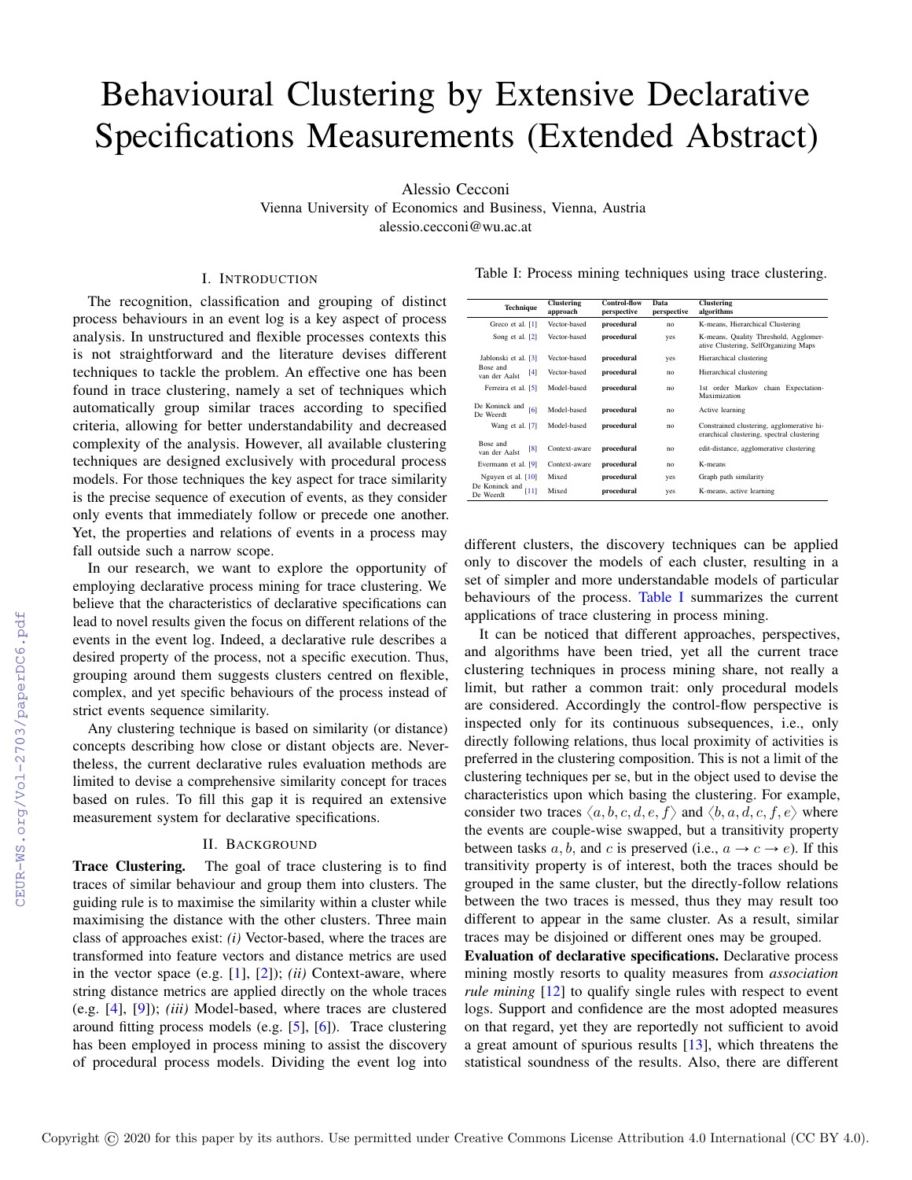# Behavioural Clustering by Extensive Declarative Specifications Measurements (Extended Abstract)

Alessio Cecconi

Vienna University of Economics and Business, Vienna, Austria alessio.cecconi@wu.ac.at

# I. INTRODUCTION

The recognition, classification and grouping of distinct process behaviours in an event log is a key aspect of process analysis. In unstructured and flexible processes contexts this is not straightforward and the literature devises different techniques to tackle the problem. An effective one has been found in trace clustering, namely a set of techniques which automatically group similar traces according to specified criteria, allowing for better understandability and decreased complexity of the analysis. However, all available clustering techniques are designed exclusively with procedural process models. For those techniques the key aspect for trace similarity is the precise sequence of execution of events, as they consider only events that immediately follow or precede one another. Yet, the properties and relations of events in a process may fall outside such a narrow scope.

In our research, we want to explore the opportunity of employing declarative process mining for trace clustering. We believe that the characteristics of declarative specifications can lead to novel results given the focus on different relations of the events in the event log. Indeed, a declarative rule describes a desired property of the process, not a specific execution. Thus, grouping around them suggests clusters centred on flexible, complex, and yet specific behaviours of the process instead of strict events sequence similarity.

Any clustering technique is based on similarity (or distance) concepts describing how close or distant objects are. Nevertheless, the current declarative rules evaluation methods are limited to devise a comprehensive similarity concept for traces based on rules. To fill this gap it is required an extensive measurement system for declarative specifications.

### II. BACKGROUND

Trace Clustering. The goal of trace clustering is to find traces of similar behaviour and group them into clusters. The guiding rule is to maximise the similarity within a cluster while maximising the distance with the other clusters. Three main class of approaches exist: *(i)* Vector-based, where the traces are transformed into feature vectors and distance metrics are used in the vector space (e.g. [\[1\]](#page--1-0), [\[2\]](#page--1-1)); *(ii)* Context-aware, where string distance metrics are applied directly on the whole traces (e.g. [\[4\]](#page--1-2), [\[9\]](#page--1-3)); *(iii)* Model-based, where traces are clustered around fitting process models (e.g.  $[5]$ ,  $[6]$ ). Trace clustering has been employed in process mining to assist the discovery of procedural process models. Dividing the event log into

Table I: Process mining techniques using trace clustering.

<span id="page-0-0"></span>

| <b>Technique</b>                               | <b>Clustering</b><br>approach | <b>Control-flow</b><br>perspective | Data<br>perspective | <b>Clustering</b><br>algorithms                                                         |
|------------------------------------------------|-------------------------------|------------------------------------|---------------------|-----------------------------------------------------------------------------------------|
| Greco et al. [1]                               | Vector-based                  | procedural                         | no                  | K-means, Hierarchical Clustering                                                        |
| Song et al. [2]                                | Vector-based                  | procedural                         | yes                 | K-means, Quality Threshold, Agglomer-<br>ative Clustering, SelfOrganizing Maps          |
| Jablonski et al. [3]                           | Vector-based                  | procedural                         | ves                 | Hierarchical clustering                                                                 |
| Bose and<br>$\lceil 4 \rceil$<br>van der Aalst | Vector-based                  | procedural                         | n <sub>0</sub>      | Hierarchical clustering                                                                 |
| Ferreira et al. [5]                            | Model-based                   | procedural                         | n <sub>0</sub>      | 1st order Markov chain Expectation-<br>Maximization                                     |
| De Koninck and<br>[6]<br>De Weerdt             | Model-based                   | procedural                         | no                  | Active learning                                                                         |
| Wang et al. [7]                                | Model-based                   | procedural                         | no                  | Constrained clustering, agglomerative hi-<br>erarchical clustering, spectral clustering |
| Bose and<br>$\sqrt{8}$<br>van der Aalst        | Context-aware                 | procedural                         | no                  | edit-distance, agglomerative clustering                                                 |
| Evermann et al. [9]                            | Context-aware                 | procedural                         | n <sub>0</sub>      | K-means                                                                                 |
| Nguyen et al. $[10]$                           | Mixed                         | procedural                         | yes                 | Graph path similarity                                                                   |
| De Koninck and<br>[11]<br>De Weerdt            | Mixed                         | procedural                         | yes                 | K-means, active learning                                                                |

different clusters, the discovery techniques can be applied only to discover the models of each cluster, resulting in a set of simpler and more understandable models of particular behaviours of the process. [Table I](#page-0-0) summarizes the current applications of trace clustering in process mining.

It can be noticed that different approaches, perspectives, and algorithms have been tried, yet all the current trace clustering techniques in process mining share, not really a limit, but rather a common trait: only procedural models are considered. Accordingly the control-flow perspective is inspected only for its continuous subsequences, i.e., only directly following relations, thus local proximity of activities is preferred in the clustering composition. This is not a limit of the clustering techniques per se, but in the object used to devise the characteristics upon which basing the clustering. For example, consider two traces  $\langle a, b, c, d, e, f \rangle$  and  $\langle b, a, d, c, f, e \rangle$  where the events are couple-wise swapped, but a transitivity property between tasks a, b, and c is preserved (i.e.,  $a \rightarrow c \rightarrow e$ ). If this transitivity property is of interest, both the traces should be grouped in the same cluster, but the directly-follow relations between the two traces is messed, thus they may result too different to appear in the same cluster. As a result, similar traces may be disjoined or different ones may be grouped.

Evaluation of declarative specifications. Declarative process mining mostly resorts to quality measures from *association rule mining* [\[12\]](#page--1-11) to qualify single rules with respect to event logs. Support and confidence are the most adopted measures on that regard, yet they are reportedly not sufficient to avoid a great amount of spurious results [\[13\]](#page--1-12), which threatens the statistical soundness of the results. Also, there are different